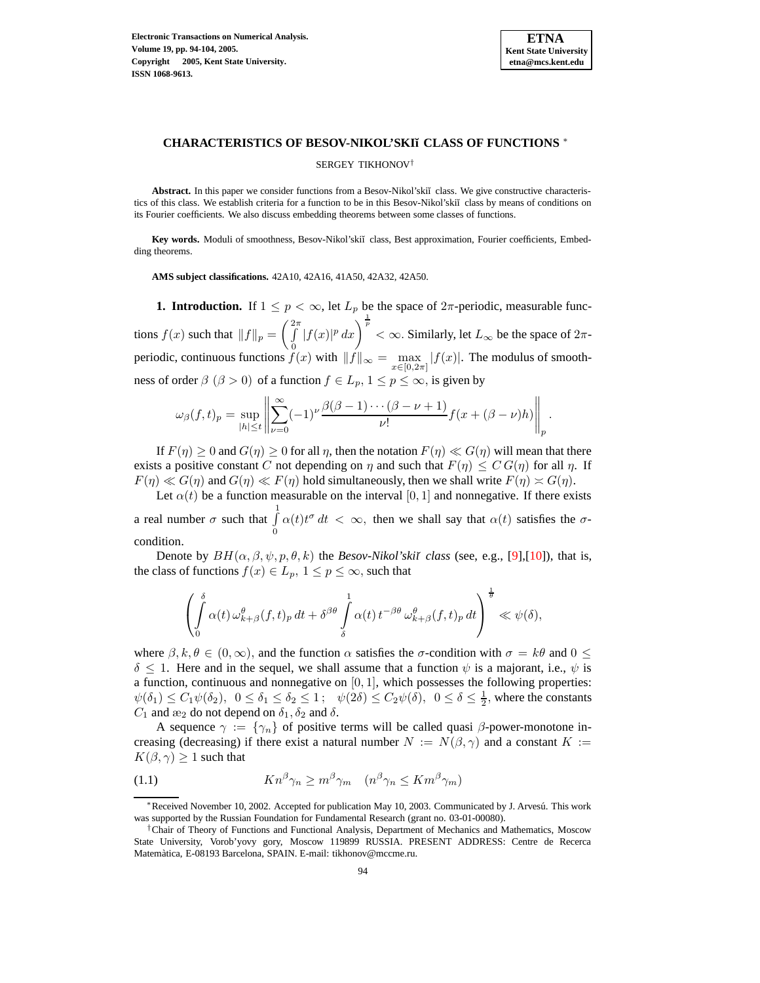

#### **CHARACTERISTICS OF BESOV-NIKOL'SKI˘ı CLASS OF FUNCTIONS** <sup>∗</sup>

SERGEY TIKHONOV†

Abstract. In this paper we consider functions from a Besov-Nikol'skiĭ class. We give constructive characteristics of this class. We establish criteria for a function to be in this Besov-Nikol'skiĭ class by means of conditions on its Fourier coefficients. We also discuss embedding theorems between some classes of functions.

Key words. Moduli of smoothness, Besov-Nikol'skiĭ class, Best approximation, Fourier coefficients, Embedding theorems.

**AMS subject classifications.** 42A10, 42A16, 41A50, 42A32, 42A50.

**1. Introduction.** If  $1 \leq p < \infty$ , let  $L_p$  be the space of  $2\pi$ -periodic, measurable functions  $f(x)$  such that  $||f||_p =$  $\int_{1}^{2\pi}$ 0  $|f(x)|^p dx$   $\int_0^{\frac{1}{p}}$  <  $\infty$ . Similarly, let  $L_{\infty}$  be the space of  $2\pi$ periodic, continuous functions  $f(x)$  with  $||f||_{\infty} = \max_{x \in [0,2\pi]} |f(x)|$ . The modulus of smoothness of order  $\beta$  ( $\beta > 0$ ) of a function  $f \in L_p$ ,  $1 \le p \le \infty$ , is given by

$$
\omega_{\beta}(f,t)_{p} = \sup_{|h| \leq t} \left\| \sum_{\nu=0}^{\infty} (-1)^{\nu} \frac{\beta(\beta-1)\cdots(\beta-\nu+1)}{\nu!} f(x+(\beta-\nu)h) \right\|_{p}.
$$

If  $F(\eta) \ge 0$  and  $G(\eta) \ge 0$  for all  $\eta$ , then the notation  $F(\eta) \ll G(\eta)$  will mean that there exists a positive constant C not depending on  $\eta$  and such that  $F(\eta) \leq C G(\eta)$  for all  $\eta$ . If  $F(\eta) \ll G(\eta)$  and  $G(\eta) \ll F(\eta)$  hold simultaneously, then we shall write  $F(\eta) \approx G(\eta)$ .

Let  $\alpha(t)$  be a function measurable on the interval [0, 1] and nonnegative. If there exists a real number  $\sigma$  such that  $\int_0^1$ 0  $\alpha(t)t^{\sigma} dt < \infty$ , then we shall say that  $\alpha(t)$  satisfies the  $\sigma$ condition.

Denote by  $BH(\alpha, \beta, \psi, p, \theta, k)$  the *Besov-Nikol'skiĭ class* (see, e.g., [\[9\]](#page-10-0),[\[10\]](#page-10-1)), that is, the class of functions  $f(x) \in L_p$ ,  $1 \le p \le \infty$ , such that

$$
\left(\int\limits_0^\delta \alpha(t)\,\omega_{k+\beta}^\theta(f,t)_p\,dt + \delta^{\beta\theta}\int\limits_\delta^1 \alpha(t)\,t^{-\beta\theta}\,\omega_{k+\beta}^\theta(f,t)_p\,dt\right)^{\frac{1}{\theta}}\ll \psi(\delta),
$$

where  $\beta, k, \theta \in (0, \infty)$ , and the function  $\alpha$  satisfies the  $\sigma$ -condition with  $\sigma = k\theta$  and  $0 \leq$  $\delta$  < 1. Here and in the sequel, we shall assume that a function  $\psi$  is a majorant, i.e.,  $\psi$  is a function, continuous and nonnegative on  $[0, 1]$ , which possesses the following properties:  $\psi(\delta_1) \le C_1 \psi(\delta_2)$ ,  $0 \le \delta_1 \le \delta_2 \le 1$ ;  $\psi(2\delta) \le C_2 \psi(\delta)$ ,  $0 \le \delta \le \frac{1}{2}$ , where the constants  $C_1$  and  $\mathfrak{E}_2$  do not depend on  $\delta_1, \delta_2$  and  $\delta$ .

A sequence  $\gamma := {\gamma_n}$  of positive terms will be called quasi  $\beta$ -power-monotone increasing (decreasing) if there exist a natural number  $N := N(\beta, \gamma)$  and a constant  $K :=$  $K(\beta, \gamma) \geq 1$  such that

(1.1) 
$$
Kn^{\beta}\gamma_n \geq m^{\beta}\gamma_m \quad (n^{\beta}\gamma_n \leq Km^{\beta}\gamma_m)
$$

<sup>∗</sup>Received November 10, 2002. Accepted for publication May 10, 2003. Communicated by J. Arvesu.´ This work was supported by the Russian Foundation for Fundamental Research (grant no. 03-01-00080).

<sup>†</sup>Chair of Theory of Functions and Functional Analysis, Department of Mechanics and Mathematics, Moscow State University, Vorob'yovy gory, Moscow 119899 RUSSIA. PRESENT ADDRESS: Centre de Recerca Matemàtica, E-08193 Barcelona, SPAIN. E-mail: tikhonov@mccme.ru.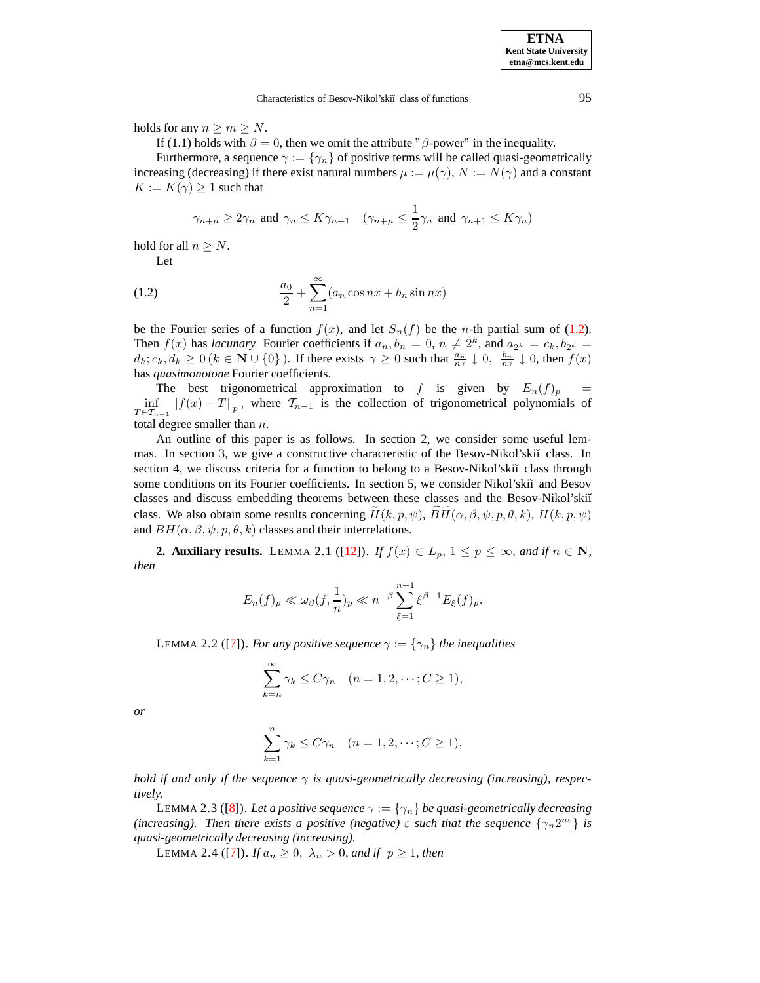holds for any  $n \geq m \geq N$ .

If (1.1) holds with  $\beta = 0$ , then we omit the attribute " $\beta$ -power" in the inequality.

Furthermore, a sequence  $\gamma := {\gamma_n}$  of positive terms will be called quasi-geometrically increasing (decreasing) if there exist natural numbers  $\mu := \mu(\gamma)$ ,  $N := N(\gamma)$  and a constant  $K := K(\gamma) \geq 1$  such that

$$
\gamma_{n+\mu} \ge 2\gamma_n \text{ and } \gamma_n \le K\gamma_{n+1} \quad (\gamma_{n+\mu} \le \frac{1}{2}\gamma_n \text{ and } \gamma_{n+1} \le K\gamma_n)
$$

hold for all  $n \geq N$ .

<span id="page-1-0"></span>Let

(1.2) 
$$
\frac{a_0}{2} + \sum_{n=1}^{\infty} (a_n \cos nx + b_n \sin nx)
$$

be the Fourier series of a function  $f(x)$ , and let  $S_n(f)$  be the *n*-th partial sum of [\(1.2\)](#page-1-0). Then  $f(x)$  has *lacunary* Fourier coefficients if  $a_n, b_n = 0, n \neq 2^k$ , and  $a_{2^k} = c_k, b_{2^k} =$  $d_k$ ;  $c_k$ ,  $d_k \ge 0$  ( $k \in \mathbb{N} \cup \{0\}$ ). If there exists  $\gamma \ge 0$  such that  $\frac{a_n}{n^{\gamma}} \downarrow 0$ ,  $\frac{b_n}{n^{\gamma}} \downarrow 0$ , then  $f(x)$ has *quasimonotone* Fourier coefficients.

The best trigonometrical approximation to f is given by  $E_n(f)_p =$  $\inf_{T \in \mathcal{T}_{n-1}} ||f(x) - T||_p$ , where  $\mathcal{T}_{n-1}$  is the collection of trigonometrical polynomials of total degree smaller than  $n$ .

An outline of this paper is as follows. In section 2, we consider some useful lemmas. In section 3, we give a constructive characteristic of the Besov-Nikol'skiı̆ class. In section 4, we discuss criteria for a function to belong to a Besov-Nikol'skiĭ class through some conditions on its Fourier coefficients. In section 5, we consider Nikol'skiĭ and Besov classes and discuss embedding theorems between these classes and the Besov-Nikol'skiı̆ class. We also obtain some results concerning  $H(k, p, \psi)$ ,  $BH(\alpha, \beta, \psi, p, \theta, k)$ ,  $H(k, p, \psi)$ and  $BH(\alpha, \beta, \psi, p, \theta, k)$  classes and their interrelations.

**2. Auxiliary results.** LEMMA 2.1 ([\[12\]](#page-10-2)). *If*  $f(x) \in L_p$ ,  $1 \leq p \leq \infty$ , and if  $n \in \mathbb{N}$ , *then*

$$
E_n(f)_p \ll \omega_\beta(f, \frac{1}{n})_p \ll n^{-\beta} \sum_{\xi=1}^{n+1} \xi^{\beta-1} E_\xi(f)_p.
$$

LEMMA 2.2 ([\[7\]](#page-10-3)). *For any positive sequence*  $\gamma := {\gamma_n}$  *the inequalities* 

$$
\sum_{k=n}^{\infty} \gamma_k \le C\gamma_n \quad (n = 1, 2, \dots; C \ge 1),
$$

*or*

$$
\sum_{k=1}^{n} \gamma_k \le C\gamma_n \quad (n = 1, 2, \dots; C \ge 1),
$$

*hold if* and only *if* the *sequence*  $\gamma$  *is quasi-geometrically decreasing (increasing), respectively.*

**LEMMA 2.3 ([\[8\]](#page-10-4)). Let a positive sequence**  $\gamma := {\gamma_n}$  be quasi-geometrically decreasing *(increasing). Then there exists a positive (negative)*  $\varepsilon$  *such that the sequence*  $\{\gamma_n 2^{n\epsilon}\}$  *is quasi-geometrically decreasing (increasing).*

LEMMA 2.4 ([\[7\]](#page-10-3)). *If*  $a_n \ge 0$ ,  $\lambda_n > 0$ , and if  $p \ge 1$ , then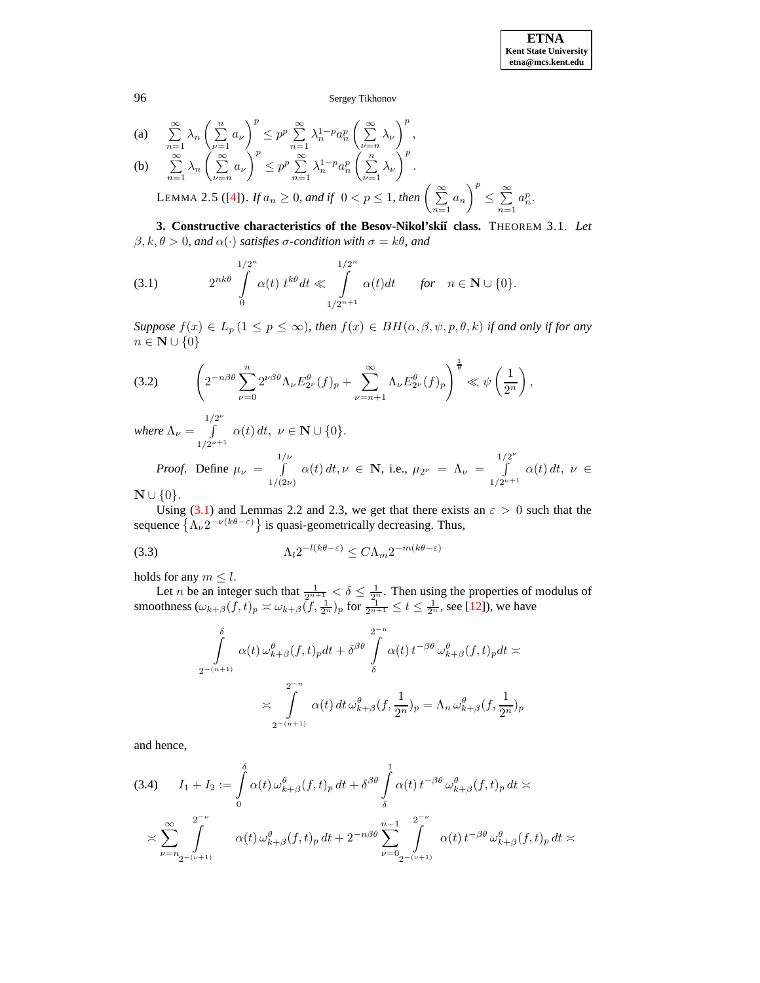(a) 
$$
\sum_{n=1}^{\infty} \lambda_n \left( \sum_{\nu=1}^n a_{\nu} \right)^p \le p^p \sum_{n=1}^{\infty} \lambda_n^{1-p} a_n^p \left( \sum_{\nu=n}^{\infty} \lambda_{\nu} \right)^p,
$$
  
\n(b) 
$$
\sum_{n=1}^{\infty} \lambda_n \left( \sum_{\nu=n}^{\infty} a_{\nu} \right)^p \le p^p \sum_{n=1}^{\infty} \lambda_n^{1-p} a_n^p \left( \sum_{\nu=1}^n \lambda_{\nu} \right)^p.
$$
  
\nLEMMA 2.5 ([4]). If  $a_n \ge 0$ , and if  $0 < p \le 1$ , then  $\left( \sum_{n=1}^{\infty} a_n \right)^p \le \sum_{n=1}^{\infty} a_n^p.$ 

**3. Constructive characteristics of the Besov-Nikol'ski˘ı class.** THEOREM 3.1. *Let* β, k, θ > 0*, and* α(·) *satisfies* σ*-condition with* σ = kθ*, and*

<span id="page-2-0"></span>(3.1) 
$$
2^{nk\theta} \int_{0}^{1/2^{n}} \alpha(t) t^{k\theta} dt \ll \int_{1/2^{n+1}}^{1/2^{n}} \alpha(t) dt \quad \text{for} \quad n \in \mathbb{N} \cup \{0\}.
$$

*Suppose*  $f(x) \in L_p$   $(1 \leq p \leq \infty)$ *, then*  $f(x) \in BH(\alpha, \beta, \psi, p, \theta, k)$  *if and only if for any*  $n \in \mathbb{N} \cup \{0\}$ 

<span id="page-2-2"></span>
$$
(3.2)\qquad \left(2^{-n\beta\theta}\sum_{\nu=0}^n 2^{\nu\beta\theta}\Lambda_{\nu}E_{2^{\nu}}^{\theta}(f)_p+\sum_{\nu=n+1}^{\infty}\Lambda_{\nu}E_{2^{\nu}}^{\theta}(f)_p\right)^{\frac{1}{\theta}}\ll\psi\left(\frac{1}{2^n}\right),
$$

*where*  $\Lambda_{\nu} =$  $\int_0^{1/2^{\nu}}$  $\int_{1/2^{\nu+1}}^1 \alpha(t) dt, \ \nu \in \mathbf{N} \cup \{0\}.$ 

*Proof.* Define  $\mu_{\nu}$  =  $\int$ <sup>1/ $\frac{\nu}{\sqrt{2}}$ </sup>  $1/(2\nu)$  $\alpha(t) dt, \nu \in \mathbf{N}$ , i.e.,  $\mu_{2^{\nu}} = \Lambda_{\nu} =$  $\int_0^{1/2^{\nu}}$  $\int\limits_{1/2^{\nu+1}} \alpha(t) dt, \ \nu \in$ 

 $\mathbf{N} \cup \{0\}.$ 

Using [\(3.1\)](#page-2-0) and Lemmas 2.2 and 2.3, we get that there exists an  $\varepsilon > 0$  such that the sequence  $\{\Lambda_{\nu}2^{-\nu(k\theta-\varepsilon)}\}$  is quasi-geometrically decreasing. Thus,

<span id="page-2-1"></span>
$$
(3.3) \qquad \qquad \Lambda_l 2^{-l(k\theta - \varepsilon)} \le C \Lambda_m 2^{-m(k\theta - \varepsilon)}
$$

holds for any  $m \leq l$ .

Let *n* be an integer such that  $\frac{1}{2^{n+1}} < \delta \leq \frac{1}{2^n}$ . Then using the properties of modulus of smoothness  $(\omega_{k+\beta}(f,t)_p \asymp \omega_{k+\beta}(f,\frac{1}{2^n})_p$  for  $\frac{1}{2^{n+1}} \le t \le \frac{1}{2^n}$ , see [\[12\]](#page-10-2)), we have

$$
\int_{2^{-(n+1)}}^{\delta} \alpha(t) \omega_{k+\beta}^{\theta}(f,t)_p dt + \delta^{\beta \theta} \int_{\delta}^{2^{-n}} \alpha(t) t^{-\beta \theta} \omega_{k+\beta}^{\theta}(f,t)_p dt \approx
$$
\n
$$
\approx \int_{2^{-(n+1)}}^{2^{-n}} \alpha(t) dt \omega_{k+\beta}^{\theta}(f, \frac{1}{2^n})_p = \Lambda_n \omega_{k+\beta}^{\theta}(f, \frac{1}{2^n})_p
$$

and hence,

<span id="page-2-3"></span>
$$
(3.4) \qquad I_1 + I_2 := \int_0^{\delta} \alpha(t) \,\omega_{k+\beta}^{\theta}(f,t)_p \,dt + \delta^{\beta\theta} \int_{\delta}^1 \alpha(t) \,t^{-\beta\theta} \,\omega_{k+\beta}^{\theta}(f,t)_p \,dt \asymp
$$

$$
\asymp \sum_{\nu=n_2-(\nu+1)}^{2^{-\nu}} \alpha(t) \,\omega_{k+\beta}^{\theta}(f,t)_p \,dt + 2^{-n\beta\theta} \sum_{\nu=0}^{n-1} \int_{2^{-(\nu+1)}}^{2^{-\nu}} \alpha(t) \,t^{-\beta\theta} \,\omega_{k+\beta}^{\theta}(f,t)_p \,dt \asymp
$$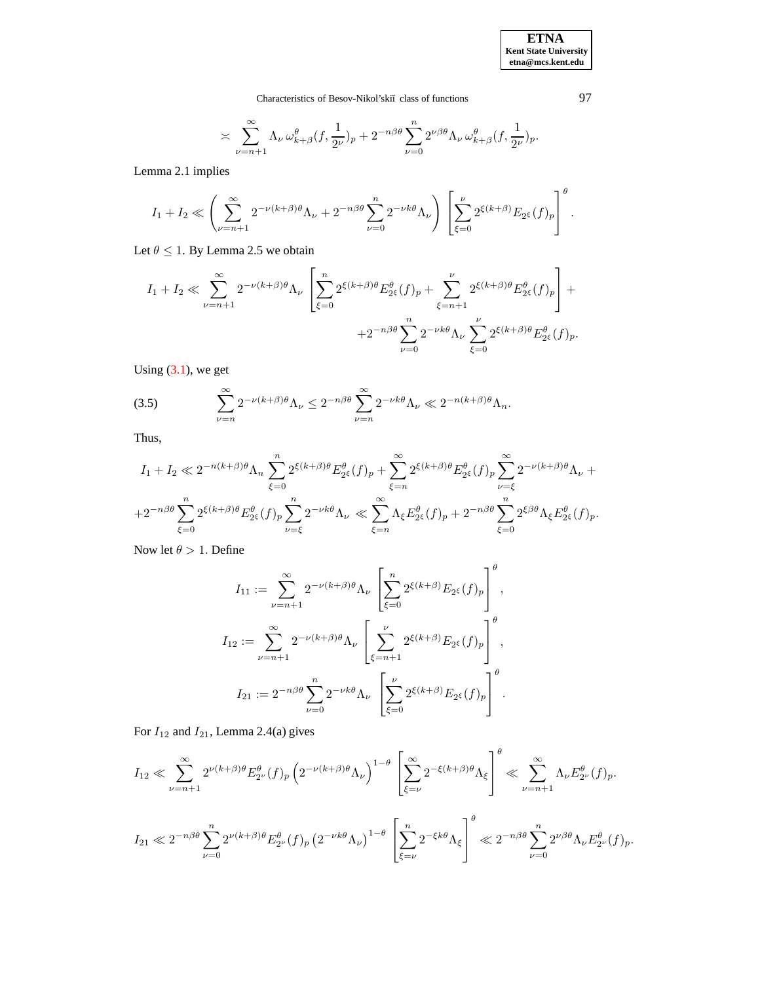**ETNA Kent State University etna@mcs.kent.edu**

Characteristics of Besov-Nikol'skiı̆ class of functions 97

$$
\asymp \sum_{\nu = n+1}^\infty \Lambda_\nu \, \omega^\theta_{k+\beta} (f, \frac{1}{2^\nu})_p + 2^{-n\beta\theta} \sum_{\nu = 0}^n 2^{\nu\beta\theta} \Lambda_\nu \, \omega^\theta_{k+\beta} (f, \frac{1}{2^\nu})_p.
$$

Lemma 2.1 implies

$$
I_1 + I_2 \ll \left(\sum_{\nu=n+1}^{\infty} 2^{-\nu(k+\beta)\theta} \Lambda_{\nu} + 2^{-n\beta\theta} \sum_{\nu=0}^{n} 2^{-\nu k\theta} \Lambda_{\nu}\right) \left[\sum_{\xi=0}^{\nu} 2^{\xi(k+\beta)} E_{2^{\xi}}(f)_p\right]^{\theta}.
$$

Let  $\theta \leq 1$ . By Lemma 2.5 we obtain

$$
I_1 + I_2 \ll \sum_{\nu=n+1}^{\infty} 2^{-\nu(k+\beta)\theta} \Lambda_{\nu} \left[ \sum_{\xi=0}^{n} 2^{\xi(k+\beta)\theta} E_{2\xi}^{\theta}(f)_p + \sum_{\xi=n+1}^{\nu} 2^{\xi(k+\beta)\theta} E_{2\xi}^{\theta}(f)_p \right] +
$$
  
 
$$
+ 2^{-n\beta\theta} \sum_{\nu=0}^{n} 2^{-\nu k\theta} \Lambda_{\nu} \sum_{\xi=0}^{\nu} 2^{\xi(k+\beta)\theta} E_{2\xi}^{\theta}(f)_p.
$$

Using  $(3.1)$ , we get

<span id="page-3-0"></span>(3.5) 
$$
\sum_{\nu=n}^{\infty} 2^{-\nu(k+\beta)\theta} \Lambda_{\nu} \le 2^{-n\beta\theta} \sum_{\nu=n}^{\infty} 2^{-\nu k\theta} \Lambda_{\nu} \ll 2^{-n(k+\beta)\theta} \Lambda_{n}.
$$

Thus,

$$
I_1 + I_2 \ll 2^{-n(k+\beta)\theta} \Lambda_n \sum_{\xi=0}^n 2^{\xi(k+\beta)\theta} E_{2^{\xi}}^{\theta}(f)_p + \sum_{\xi=n}^{\infty} 2^{\xi(k+\beta)\theta} E_{2^{\xi}}^{\theta}(f)_p \sum_{\nu=\xi}^{\infty} 2^{-\nu(k+\beta)\theta} \Lambda_{\nu} +
$$
  
+2^{-n\beta\theta} \sum\_{\xi=0}^n 2^{\xi(k+\beta)\theta} E\_{2^{\xi}}^{\theta}(f)\_p \sum\_{\nu=\xi}^n 2^{-\nu k\theta} \Lambda\_{\nu} \ll \sum\_{\xi=n}^{\infty} \Lambda\_{\xi} E\_{2^{\xi}}^{\theta}(f)\_p + 2^{-n\beta\theta} \sum\_{\xi=0}^n 2^{\xi\beta\theta} \Lambda\_{\xi} E\_{2^{\xi}}^{\theta}(f)\_p.

Now let  $\theta > 1$ . Define

$$
I_{11} := \sum_{\nu=n+1}^{\infty} 2^{-\nu(k+\beta)\theta} \Lambda_{\nu} \left[ \sum_{\xi=0}^{n} 2^{\xi(k+\beta)} E_{2^{\xi}}(f)_{p} \right]^{\theta},
$$
  

$$
I_{12} := \sum_{\nu=n+1}^{\infty} 2^{-\nu(k+\beta)\theta} \Lambda_{\nu} \left[ \sum_{\xi=n+1}^{\nu} 2^{\xi(k+\beta)} E_{2^{\xi}}(f)_{p} \right]^{\theta},
$$
  

$$
I_{21} := 2^{-n\beta\theta} \sum_{\nu=0}^{n} 2^{-\nu k\theta} \Lambda_{\nu} \left[ \sum_{\xi=0}^{\nu} 2^{\xi(k+\beta)} E_{2^{\xi}}(f)_{p} \right]^{\theta}.
$$

For  $I_{12}$  and  $I_{21}$ , Lemma 2.4(a) gives

$$
I_{12} \ll \sum_{\nu=n+1}^{\infty} 2^{\nu(k+\beta)\theta} E_{2^{\nu}}^{\theta}(f)_p \left(2^{-\nu(k+\beta)\theta} \Lambda_{\nu}\right)^{1-\theta} \left[\sum_{\xi=\nu}^{\infty} 2^{-\xi(k+\beta)\theta} \Lambda_{\xi}\right]^{\theta} \ll \sum_{\nu=n+1}^{\infty} \Lambda_{\nu} E_{2^{\nu}}^{\theta}(f)_p.
$$
  

$$
I_{21} \ll 2^{-n\beta\theta} \sum_{\nu=0}^n 2^{\nu(k+\beta)\theta} E_{2^{\nu}}^{\theta}(f)_p \left(2^{-\nu k\theta} \Lambda_{\nu}\right)^{1-\theta} \left[\sum_{\xi=\nu}^n 2^{-\xi k\theta} \Lambda_{\xi}\right]^{\theta} \ll 2^{-n\beta\theta} \sum_{\nu=0}^n 2^{\nu\beta\theta} \Lambda_{\nu} E_{2^{\nu}}^{\theta}(f)_p.
$$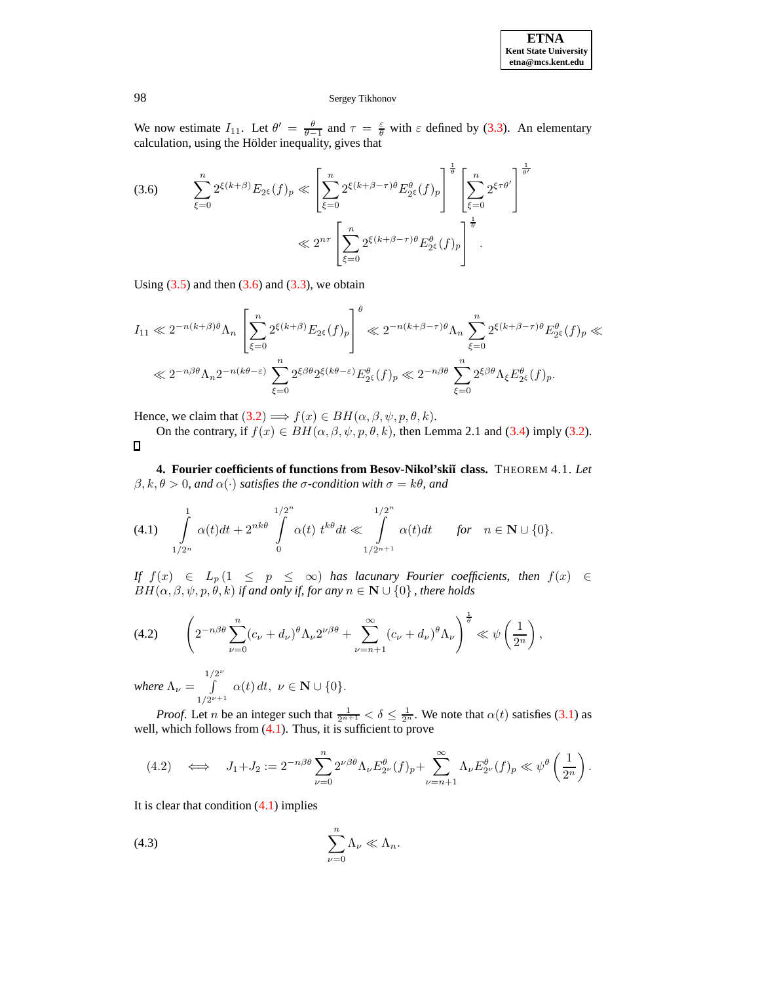

We now estimate  $I_{11}$ . Let  $\theta' = \frac{\theta}{\theta-1}$  and  $\tau = \frac{\epsilon}{\theta}$  with  $\epsilon$  defined by [\(3.3\)](#page-2-1). An elementary calculation, using the Hölder inequality, gives that

<span id="page-4-0"></span>
$$
(3.6) \qquad \sum_{\xi=0}^{n} 2^{\xi(k+\beta)} E_{2^{\xi}}(f)_p \ll \left[ \sum_{\xi=0}^{n} 2^{\xi(k+\beta-\tau)\theta} E_{2^{\xi}}^{\theta}(f)_p \right]^{\frac{1}{\theta}} \left[ \sum_{\xi=0}^{n} 2^{\xi\tau\theta'} \right]^{\frac{1}{\theta'}}
$$

$$
\ll 2^{n\tau} \left[ \sum_{\xi=0}^{n} 2^{\xi(k+\beta-\tau)\theta} E_{2^{\xi}}^{\theta}(f)_p \right]^{\frac{1}{\theta}}.
$$

Using  $(3.5)$  and then  $(3.6)$  and  $(3.3)$ , we obtain

$$
I_{11} \ll 2^{-n(k+\beta)\theta} \Lambda_n \left[ \sum_{\xi=0}^n 2^{\xi(k+\beta)} E_{2^{\xi}}(f)_p \right]^{\theta} \ll 2^{-n(k+\beta-\tau)\theta} \Lambda_n \sum_{\xi=0}^n 2^{\xi(k+\beta-\tau)\theta} E_{2^{\xi}}^{\theta}(f)_p \ll
$$
  

$$
\ll 2^{-n\beta\theta} \Lambda_n 2^{-n(k\theta-\varepsilon)} \sum_{\xi=0}^n 2^{\xi\beta\theta} 2^{\xi(k\theta-\varepsilon)} E_{2^{\xi}}^{\theta}(f)_p \ll 2^{-n\beta\theta} \sum_{\xi=0}^n 2^{\xi\beta\theta} \Lambda_{\xi} E_{2^{\xi}}^{\theta}(f)_p.
$$

Hence, we claim that  $(3.2) \Longrightarrow f(x) \in BH(\alpha, \beta, \psi, p, \theta, k)$  $(3.2) \Longrightarrow f(x) \in BH(\alpha, \beta, \psi, p, \theta, k)$  $(3.2) \Longrightarrow f(x) \in BH(\alpha, \beta, \psi, p, \theta, k)$ .

On the contrary, if  $f(x) \in BH(\alpha, \beta, \psi, p, \theta, k)$ , then Lemma 2.1 and [\(3.4\)](#page-2-3) imply [\(3.2\)](#page-2-2).  $\Box$ 

**4. Fourier coefficients of functions from Besov-Nikol'ski˘ı class.** THEOREM 4.1. *Let*  $\beta, k, \theta > 0$ , and  $\alpha(\cdot)$  *satisfies the*  $\sigma$ -condition with  $\sigma = k\theta$ , and

<span id="page-4-1"></span>
$$
(4.1) \int_{1/2^n}^1 \alpha(t)dt + 2^{nk\theta} \int_{0}^{1/2^n} \alpha(t) \ t^{k\theta} dt \ll \int_{1/2^{n+1}}^{1/2^n} \alpha(t)dt \quad \text{for} \quad n \in \mathbb{N} \cup \{0\}.
$$

*If*  $f(x)$  ∈  $L_p(1 \leq p \leq \infty)$  *has lacunary Fourier coefficients, then*  $f(x)$  ∈  $BH(\alpha, \beta, \psi, p, \theta, k)$  *if and only if, for any*  $n \in \mathbb{N} \cup \{0\}$ , *there holds* 

<span id="page-4-3"></span>
$$
(4.2)\qquad \left(2^{-n\beta\theta}\sum_{\nu=0}^n(c_\nu+d_\nu)^\theta\Lambda_\nu 2^{\nu\beta\theta}+\sum_{\nu=n+1}^\infty(c_\nu+d_\nu)^\theta\Lambda_\nu\right)^{\frac{1}{\theta}}\ll\psi\left(\frac{1}{2^n}\right),
$$

*where*  $\Lambda_{\nu} =$  $\int_0^{1/2^{\nu}}$  $\int_{1/2^{\nu+1}}^1 \alpha(t) dt, \ \nu \in \mathbf{N} \cup \{0\}.$ 

*Proof.* Let *n* be an integer such that  $\frac{1}{2^{n+1}} < \delta \le \frac{1}{2^n}$ . We note that  $\alpha(t)$  satisfies [\(3.1\)](#page-2-0) as well, which follows from  $(4.1)$ . Thus, it is sufficient to prove

$$
(4.2) \quad \Longleftrightarrow \quad J_1 + J_2 := 2^{-n\beta\theta} \sum_{\nu=0}^n 2^{\nu\beta\theta} \Lambda_\nu E_{2^{\nu}}^\theta (f)_p + \sum_{\nu=n+1}^\infty \Lambda_\nu E_{2^{\nu}}^\theta (f)_p \ll \psi^\theta \left(\frac{1}{2^n}\right).
$$

It is clear that condition  $(4.1)$  implies

<span id="page-4-2"></span>
$$
\sum_{\nu=0}^n \Lambda_{\nu} \ll \Lambda_n.
$$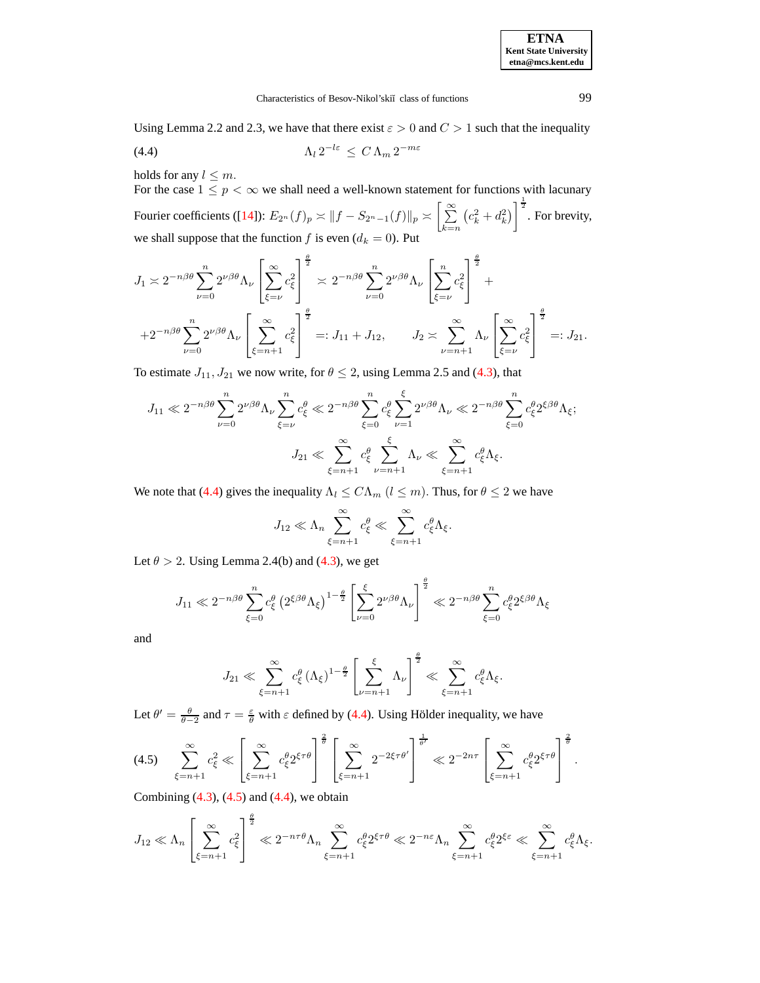**ETNA Kent State University etna@mcs.kent.edu**

## <span id="page-5-0"></span>Characteristics of Besov-Nikol'skiĭ class of functions 99

Using Lemma 2.2 and 2.3, we have that there exist  $\varepsilon > 0$  and  $C > 1$  such that the inequality

Λ<sup>l</sup> 2 <sup>−</sup>lε ≤ C Λ<sup>m</sup> 2 <sup>−</sup>mε (4.4)

holds for any  $l \leq m$ .

For the case  $1 \leq p < \infty$  we shall need a well-known statement for functions with lacunary Fourier coefficients ([\[14\]](#page-10-6)):  $E_{2^n}(f)_p \asymp \|f - S_{2^n-1}(f)\|_p \asymp \Big[\sum_{i=1}^\infty \frac{1}{2^n}\Big]$  $_{k=n}$  $(c_k^2 + d_k^2)$   $\Big]^{\frac{1}{2}}$ . For brevity, we shall suppose that the function f is even  $(d_k = 0)$ . Put

$$
J_1 \approx 2^{-n\beta\theta} \sum_{\nu=0}^n 2^{\nu\beta\theta} \Lambda_{\nu} \left[ \sum_{\xi=\nu}^{\infty} c_{\xi}^2 \right]^{\frac{\theta}{2}} \approx 2^{-n\beta\theta} \sum_{\nu=0}^n 2^{\nu\beta\theta} \Lambda_{\nu} \left[ \sum_{\xi=\nu}^n c_{\xi}^2 \right]^{\frac{\theta}{2}} +
$$
  
+2^{-n\beta\theta} \sum\_{\nu=0}^n 2^{\nu\beta\theta} \Lambda\_{\nu} \left[ \sum\_{\xi=n+1}^{\infty} c\_{\xi}^2 \right]^{\frac{\theta}{2}} =: J\_{11} + J\_{12}, \qquad J\_2 \approx \sum\_{\nu=n+1}^{\infty} \Lambda\_{\nu} \left[ \sum\_{\xi=\nu}^{\infty} c\_{\xi}^2 \right]^{\frac{\theta}{2}} =: J\_{21}.

To estimate  $J_{11}$ ,  $J_{21}$  we now write, for  $\theta \le 2$ , using Lemma 2.5 and [\(4.3\)](#page-4-2), that

$$
J_{11} \ll 2^{-n\beta\theta} \sum_{\nu=0}^{n} 2^{\nu\beta\theta} \Lambda_{\nu} \sum_{\xi=\nu}^{n} c_{\xi}^{\theta} \ll 2^{-n\beta\theta} \sum_{\xi=0}^{n} c_{\xi}^{\theta} \sum_{\nu=1}^{\xi} 2^{\nu\beta\theta} \Lambda_{\nu} \ll 2^{-n\beta\theta} \sum_{\xi=0}^{n} c_{\xi}^{\theta} 2^{\xi\beta\theta} \Lambda_{\xi};
$$

$$
J_{21} \ll \sum_{\xi=n+1}^{\infty} c_{\xi}^{\theta} \sum_{\nu=n+1}^{\xi} \Lambda_{\nu} \ll \sum_{\xi=n+1}^{\infty} c_{\xi}^{\theta} \Lambda_{\xi}.
$$

We note that [\(4.4\)](#page-5-0) gives the inequality  $\Lambda_l \leq C \Lambda_m$  ( $l \leq m$ ). Thus, for  $\theta \leq 2$  we have

$$
J_{12} \ll \Lambda_n \sum_{\xi=n+1}^{\infty} c_{\xi}^{\theta} \ll \sum_{\xi=n+1}^{\infty} c_{\xi}^{\theta} \Lambda_{\xi}.
$$

Let  $\theta > 2$ . Using Lemma 2.4(b) and [\(4.3\)](#page-4-2), we get

$$
J_{11} \ll 2^{-n\beta\theta} \sum_{\xi=0}^{n} c_{\xi}^{\theta} \left( 2^{\xi\beta\theta} \Lambda_{\xi} \right)^{1-\frac{\theta}{2}} \left[ \sum_{\nu=0}^{\xi} 2^{\nu\beta\theta} \Lambda_{\nu} \right]^{\frac{\theta}{2}} \ll 2^{-n\beta\theta} \sum_{\xi=0}^{n} c_{\xi}^{\theta} 2^{\xi\beta\theta} \Lambda_{\xi}
$$

and

$$
J_{21} \ll \sum_{\xi=n+1}^{\infty} c_{\xi}^{\theta} (\Lambda_{\xi})^{1-\frac{\theta}{2}} \left[ \sum_{\nu=n+1}^{\xi} \Lambda_{\nu} \right]^{\frac{\theta}{2}} \ll \sum_{\xi=n+1}^{\infty} c_{\xi}^{\theta} \Lambda_{\xi}.
$$

Let  $\theta' = \frac{\theta}{\theta - 2}$  and  $\tau = \frac{\epsilon}{\theta}$  with  $\varepsilon$  defined by [\(4.4\)](#page-5-0). Using Hölder inequality, we have

<span id="page-5-1"></span>
$$
(4.5) \quad \sum_{\xi=n+1}^{\infty} c_{\xi}^{2} \ll \left[ \sum_{\xi=n+1}^{\infty} c_{\xi}^{\theta} 2^{\xi \tau \theta} \right]^{\frac{2}{\theta}} \left[ \sum_{\xi=n+1}^{\infty} 2^{-2\xi \tau \theta'} \right]^{\frac{1}{\theta'}} \ll 2^{-2n\tau} \left[ \sum_{\xi=n+1}^{\infty} c_{\xi}^{\theta} 2^{\xi \tau \theta} \right]^{\frac{2}{\theta}}.
$$

Combining  $(4.3)$ ,  $(4.5)$  and  $(4.4)$ , we obtain

$$
J_{12} \ll \Lambda_n \left[ \sum_{\xi=n+1}^{\infty} c_{\xi}^2 \right]^{\frac{\theta}{2}} \ll 2^{-n\tau\theta} \Lambda_n \sum_{\xi=n+1}^{\infty} c_{\xi}^{\theta} 2^{\xi \tau \theta} \ll 2^{-n\varepsilon} \Lambda_n \sum_{\xi=n+1}^{\infty} c_{\xi}^{\theta} 2^{\xi \varepsilon} \ll \sum_{\xi=n+1}^{\infty} c_{\xi}^{\theta} \Lambda_{\xi}.
$$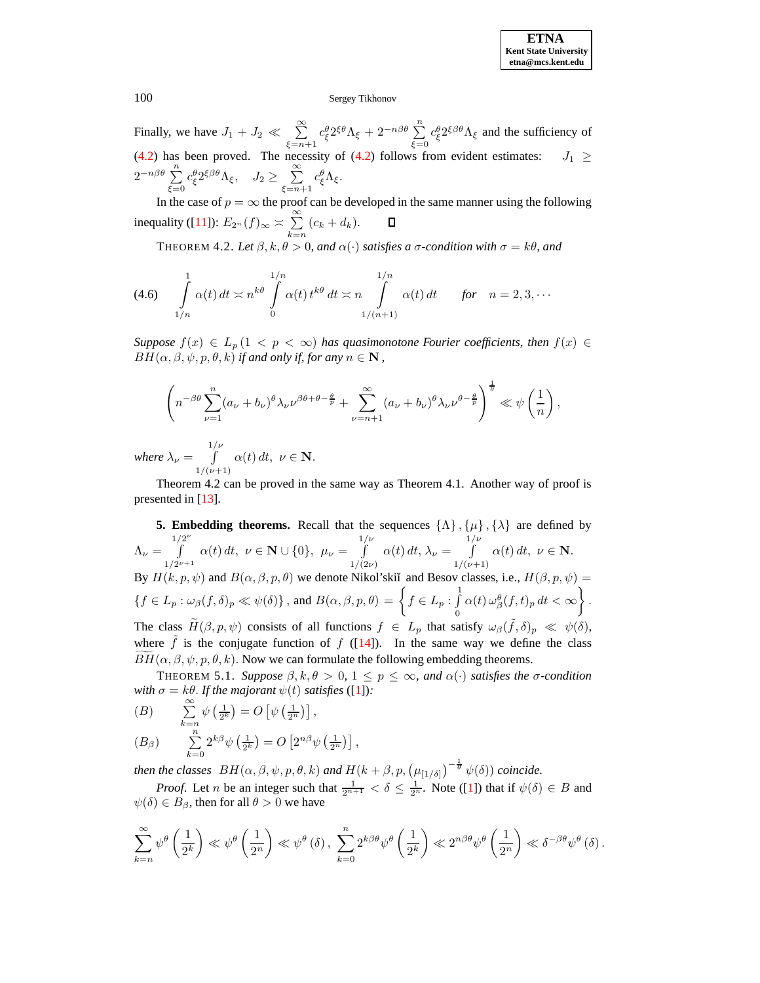Finally, we have  $J_1 + J_2 \ll \sum_{i=1}^{\infty}$  $\xi = n+1$  $c_{\xi}^{\theta} 2^{\xi \theta} \Lambda_{\xi} + 2^{-n\beta \theta} \sum_{n=1}^{n}$  $\xi=0$  $c_{\xi}^{\theta} 2^{\xi \beta \theta} \Lambda_{\xi}$  and the sufficiency of [\(4.2\)](#page-4-3) has been proved. The necessity of (4.2) follows from evident estimates:  $J_1 \geq$  $2^{-n\beta\theta}$   $\sum_{n=1}^{\infty}$  $\xi=0$  $c_{\xi}^{\theta} 2^{\xi \beta \theta} \Lambda_{\xi}, \quad J_2 \geq \sum_{\alpha=1}^{\infty}$  $\xi = n+1$  $c^\theta_\xi$ Λ<sub>ξ</sub>.

In the case of  $p = \infty$  the proof can be developed in the same manner using the following inequality ([\[11\]](#page-10-7)):  $E_{2^n}(f)_{\infty} \asymp \sum^{\infty}$  $\Box$  $\sum_{k=n} (c_k + d_k).$ 

THEOREM 4.2. *Let*  $\beta$ ,  $k, \theta > 0$ , and  $\alpha(\cdot)$  *satisfies* a  $\sigma$ -condition with  $\sigma = k\theta$ , and

<span id="page-6-0"></span>
$$
(4.6) \quad \int\limits_{1/n}^{1} \alpha(t) dt \asymp n^{k\theta} \int\limits_{0}^{1/n} \alpha(t) t^{k\theta} dt \asymp n \int\limits_{1/(n+1)}^{1/n} \alpha(t) dt \quad \text{for} \quad n = 2, 3, \cdots
$$

*Suppose*  $f(x) \in L_p(1 \lt p \lt \infty)$  *has quasimonotone Fourier coefficients, then*  $f(x) \in$  $BH(\alpha, \beta, \psi, p, \theta, k)$  *if and only if, for any*  $n \in \mathbb{N}$ ,

$$
\left(n^{-\beta\theta}\sum_{\nu=1}^n(a_\nu+b_\nu)^\theta\lambda_\nu\nu^{\beta\theta+\theta-\frac{\theta}{p}}+\sum_{\nu=n+1}^\infty(a_\nu+b_\nu)^\theta\lambda_\nu\nu^{\theta-\frac{\theta}{p}}\right)^{\frac{1}{\theta}}\ll\psi\left(\frac{1}{n}\right),
$$

*where*  $\lambda_{\nu} =$ 1/ν R  $1/(\nu+1)$  $\alpha(t) dt, \nu \in \mathbf{N}.$ 

Theorem 4.2 can be proved in the same way as Theorem 4.1. Another way of proof is presented in [\[13\]](#page-10-8).

**5. Embedding theorems.** Recall that the sequences  $\{\Lambda\}$ ,  $\{\mu\}$ ,  $\{\lambda\}$  are defined by  $\Lambda_{\nu} =$  $\int_0^{1/2^{\nu}}$  $1/2^{\nu+1}$  $\alpha(t) dt, \ \nu \in \mathbf{N} \cup \{0\}, \ \mu_{\nu} = \int^{1/\nu}$  $1/(2\nu)$  $\alpha(t) dt, \lambda_{\nu} =$  $\int$ <sup>1/ $\frac{\nu}{\sqrt{2}}$ </sup>  $1/(\nu+1)$  $\alpha(t) dt, \nu \in \mathbf{N}.$ By  $H(k, p, \psi)$  and  $B(\alpha, \beta, p, \theta)$  we denote Nikol'skiĭ and Besov classes, i.e.,  $H(\beta, p, \psi) =$  $\{f \in L_p : \omega_{\beta}(f, \delta)_p \ll \psi(\delta)\}\,$ , and  $B(\alpha, \beta, p, \theta) =$  $\sqrt{ }$  $f \in L_p : \int_0^1$ 0  $\alpha(t)\,\omega^{\theta}_{\beta}(f,t)_p\,dt<\infty$  $\mathcal{L}$ . The class  $\widetilde{H}(\beta, p, \psi)$  consists of all functions  $f \in L_p$  that satisfy  $\omega_{\beta}(\tilde{f}, \delta)_p \ll \psi(\delta)$ ,

where  $\tilde{f}$  is the conjugate function of  $f$  ([\[14\]](#page-10-6)). In the same way we define the class  $BH(\alpha, \beta, \psi, p, \theta, k)$ . Now we can formulate the following embedding theorems.

THEOREM 5.1. *Suppose*  $\beta, k, \theta > 0, 1 \le p \le \infty$ *, and*  $\alpha(\cdot)$  *satisfies the*  $\sigma$ -condition *with*  $\sigma = k\theta$ . *If the majorant*  $\psi(t)$  *satisfies* ([\[1\]](#page-10-9)):

$$
(B) \qquad \sum_{k=n}^{\infty} \psi\left(\frac{1}{2^k}\right) = O\left[\psi\left(\frac{1}{2^n}\right)\right],
$$

$$
(B_{\beta}) \qquad \sum_{k=0}^{n} 2^{k\beta} \psi\left(\frac{1}{2^k}\right) = O\left[2^{n\beta} \psi\left(\frac{1}{2^n}\right)\right],
$$

*then the classes*  $BH(\alpha, \beta, \psi, p, \theta, k)$  *and*  $H(k + \beta, p, (\mu_{[1/\delta]})^{-\frac{1}{\theta}} \psi(\delta))$  *coincide.* 

*Proof.* Let *n* be an integer such that  $\frac{1}{2^{n+1}} < \delta \leq \frac{1}{2^n}$ . Note ([\[1\]](#page-10-9)) that if  $\psi(\delta) \in B$  and  $\psi(\delta) \in B_\beta$ , then for all  $\theta > 0$  we have

$$
\sum_{k=n}^{\infty}\psi^{\theta}\left(\frac{1}{2^k}\right)\ll \psi^{\theta}\left(\frac{1}{2^n}\right)\ll \psi^{\theta}\left(\delta\right),\ \sum_{k=0}^{n}2^{k\beta\theta}\psi^{\theta}\left(\frac{1}{2^k}\right)\ll 2^{n\beta\theta}\psi^{\theta}\left(\frac{1}{2^n}\right)\ll \delta^{-\beta\theta}\psi^{\theta}\left(\delta\right).
$$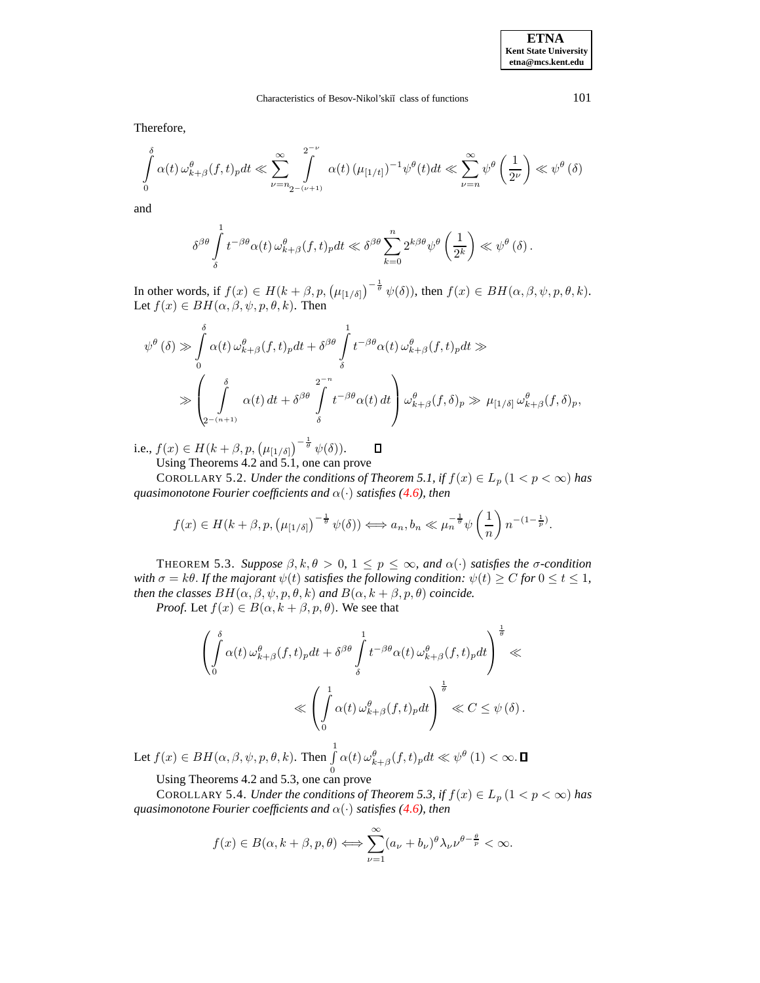# Characteristics of Besov-Nikol'skiĭ class of functions 101

Therefore,

$$
\int_{0}^{\delta} \alpha(t) \,\omega_{k+\beta}^{\theta}(f,t)_p dt \ll \sum_{\nu=n_2-(\nu+1)}^{\infty} \int_{0}^{2^{-\nu}} \alpha(t) \, (\mu_{[1/t]})^{-1} \psi^{\theta}(t) dt \ll \sum_{\nu=n}^{\infty} \psi^{\theta} \left(\frac{1}{2^{\nu}}\right) \ll \psi^{\theta}(\delta)
$$

and

$$
\delta^{\beta\theta} \int\limits_{\delta}^1 t^{-\beta\theta} \alpha(t) \,\omega_{k+\beta}^\theta (f,t)_p dt \ll \delta^{\beta\theta} \sum\limits_{k=0}^n 2^{k\beta\theta} \psi^\theta \left(\frac{1}{2^k}\right) \ll \psi^\theta \left(\delta\right).
$$

In other words, if  $f(x) \in H(k+\beta, p, (\mu_{[1/\delta]})^{-\frac{1}{\theta}} \psi(\delta))$ , then  $f(x) \in BH(\alpha, \beta, \psi, p, \theta, k)$ . Let  $f(x) \in BH(\alpha, \beta, \psi, p, \theta, k)$ . Then

$$
\psi^{\theta}(\delta) \gg \int_{0}^{\delta} \alpha(t) \omega_{k+\beta}^{\theta}(f,t)_{p} dt + \delta^{\beta \theta} \int_{\delta}^{1} t^{-\beta \theta} \alpha(t) \omega_{k+\beta}^{\theta}(f,t)_{p} dt \gg
$$
  

$$
\gg \left( \int_{2^{-(n+1)}}^{\delta} \alpha(t) dt + \delta^{\beta \theta} \int_{\delta}^{2^{-n}} t^{-\beta \theta} \alpha(t) dt \right) \omega_{k+\beta}^{\theta}(f,\delta)_{p} \gg \mu_{[1/\delta]} \omega_{k+\beta}^{\theta}(f,\delta)_{p},
$$

i.e.,  $f(x) \in H(k+\beta, p, (\mu_{[1/\delta]})^{-\frac{1}{\theta}} \psi(\delta)).$  $\Box$ Using Theorems 4.2 and 5.1, one can prove

COROLLARY 5.2. *Under the conditions of Theorem 5.1, if*  $f(x) \in L_p (1 < p < \infty)$  *has quasimonotone Fourier coefficients and* α(·) *satisfies [\(4.6\)](#page-6-0), then*

$$
f(x) \in H(k+\beta, p, (\mu_{[1/\delta]})^{-\frac{1}{\theta}} \psi(\delta)) \Longleftrightarrow a_n, b_n \ll \mu_n^{-\frac{1}{\theta}} \psi\left(\frac{1}{n}\right) n^{-(1-\frac{1}{p})}.
$$

THEOREM 5.3. *Suppose*  $\beta, k, \theta > 0, 1 \le p \le \infty$ *, and*  $\alpha(\cdot)$  *satisfies the*  $\sigma$ -condition *with*  $\sigma = k\theta$ . If the majorant  $\psi(t)$  satisfies the following condition:  $\psi(t) \geq C$  for  $0 \leq t \leq 1$ , *then the classes*  $BH(\alpha, \beta, \psi, p, \theta, k)$  *and*  $B(\alpha, k + \beta, p, \theta)$  *coincide.* 

*Proof.* Let  $f(x) \in B(\alpha, k + \beta, p, \theta)$ . We see that

$$
\left(\int_{0}^{\delta} \alpha(t) \omega_{k+\beta}^{\theta}(f,t)_{p} dt + \delta^{\beta \theta} \int_{\delta}^{1} t^{-\beta \theta} \alpha(t) \omega_{k+\beta}^{\theta}(f,t)_{p} dt \right)^{\frac{1}{\theta}} \ll
$$
  

$$
\ll \left(\int_{0}^{1} \alpha(t) \omega_{k+\beta}^{\theta}(f,t)_{p} dt\right)^{\frac{1}{\theta}} \ll C \leq \psi(\delta).
$$

Let  $f(x) \in BH(\alpha, \beta, \psi, p, \theta, k)$ . Then  $\int_0^1$  $\mathbf{0}$  $\alpha(t)\,\omega_{k+\beta}^{\theta}(f,t)_p dt \ll \psi^{\theta}\left(1\right) < \infty.$ 

Using Theorems 4.2 and 5.3, one can prove

COROLLARY 5.4. *Under the conditions of Theorem 5.3, if*  $f(x) \in L_p (1 < p < \infty)$  *has guasimonotone Fourier coefficients and*  $\alpha(\cdot)$  *satisfies* [\(4.6\)](#page-6-0)*, then* 

$$
f(x) \in B(\alpha, k + \beta, p, \theta) \Longleftrightarrow \sum_{\nu=1}^{\infty} (a_{\nu} + b_{\nu})^{\theta} \lambda_{\nu} \nu^{\theta - \frac{\theta}{p}} < \infty.
$$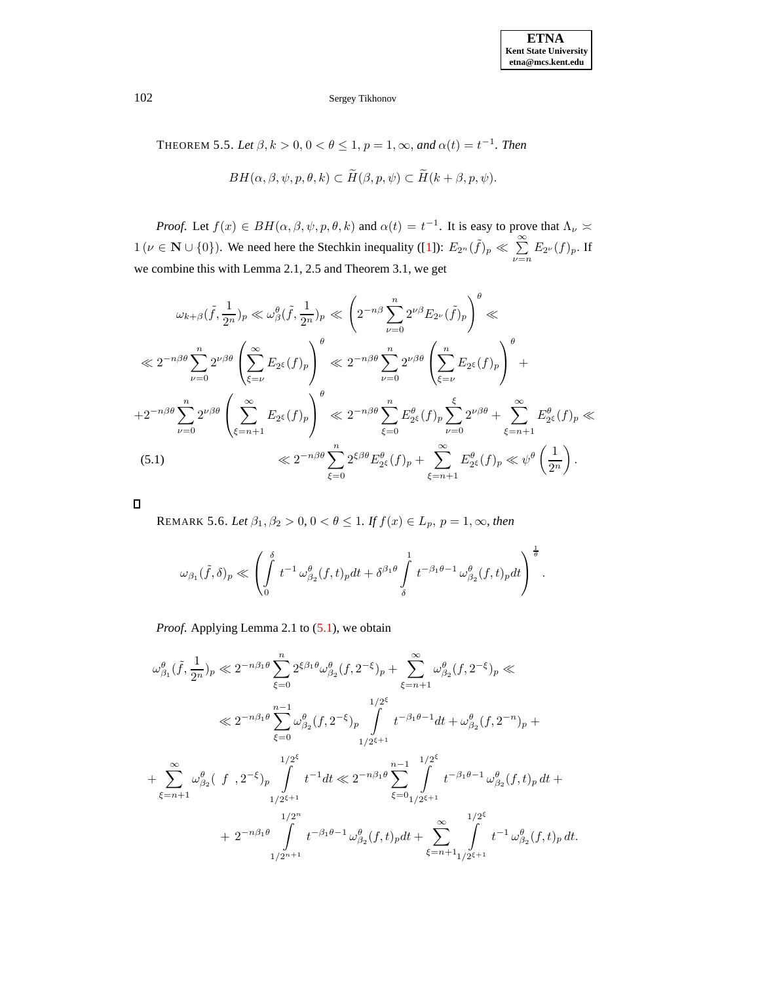THEOREM 5.5. Let  $\beta$ ,  $k > 0$ ,  $0 < \theta \le 1$ ,  $p = 1$ ,  $\infty$ , and  $\alpha(t) = t^{-1}$ . Then

$$
BH(\alpha, \beta, \psi, p, \theta, k) \subset \widetilde{H}(\beta, p, \psi) \subset \widetilde{H}(k + \beta, p, \psi).
$$

*Proof.* Let  $f(x) \in BH(\alpha, \beta, \psi, p, \theta, k)$  and  $\alpha(t) = t^{-1}$ . It is easy to prove that  $\Lambda_{\nu} \asymp$  $1 (\nu \in \mathbf{N} \cup \{0\})$ . We need here the Stechkin inequality ([\[1\]](#page-10-9)):  $E_{2n}(\tilde{f})_p \ll \sum_{n=1}^{\infty}$  $\sum_{\nu=n} E_{2^{\nu}}(f)_p$ . If we combine this with Lemma 2.1, 2.5 and Theorem 3.1, we get

<span id="page-8-0"></span>
$$
\omega_{k+\beta}(\tilde{f},\frac{1}{2^n})_p \ll \omega_{\beta}^{\theta}(\tilde{f},\frac{1}{2^n})_p \ll \left(2^{-n\beta} \sum_{\nu=0}^n 2^{\nu\beta} E_{2^{\nu}}(\tilde{f})_p\right)^{\theta} \ll
$$
  

$$
\ll 2^{-n\beta\theta} \sum_{\nu=0}^n 2^{\nu\beta\theta} \left(\sum_{\xi=\nu}^{\infty} E_{2^{\xi}}(f)_p\right)^{\theta} \ll 2^{-n\beta\theta} \sum_{\nu=0}^n 2^{\nu\beta\theta} \left(\sum_{\xi=\nu}^{\infty} E_{2^{\xi}}(f)_p\right)^{\theta} +
$$
  

$$
+2^{-n\beta\theta} \sum_{\nu=0}^n 2^{\nu\beta\theta} \left(\sum_{\xi=n+1}^{\infty} E_{2^{\xi}}(f)_p\right)^{\theta} \ll 2^{-n\beta\theta} \sum_{\xi=0}^n E_{2^{\xi}}^{\theta}(f)_p \sum_{\nu=0}^{\xi} 2^{\nu\beta\theta} + \sum_{\xi=n+1}^{\infty} E_{2^{\xi}}^{\theta}(f)_p \ll
$$
  
(5.1) 
$$
\ll 2^{-n\beta\theta} \sum_{\xi=0}^n 2^{\xi\beta\theta} E_{2^{\xi}}^{\theta}(f)_p + \sum_{\xi=n+1}^{\infty} E_{2^{\xi}}^{\theta}(f)_p \ll \psi^{\theta} \left(\frac{1}{2^n}\right).
$$

 $\Box$ 

REMARK 5.6. *Let*  $\beta_1, \beta_2 > 0, 0 < \theta \leq 1$ *. If*  $f(x) \in L_p$ ,  $p = 1, \infty$ *, then* 

$$
\omega_{\beta_1}(\tilde{f},\delta)_p \ll \left(\int\limits_0^\delta t^{-1} \,\omega_{\beta_2}^\theta(f,t)_p dt + \delta^{\beta_1\theta} \int\limits_\delta^1 t^{-\beta_1\theta -1} \,\omega_{\beta_2}^\theta(f,t)_p dt\right)^{\frac{1}{\theta}}.
$$

*Proof.* Applying Lemma 2.1 to [\(5.1\)](#page-8-0), we obtain

$$
\begin{split} \omega_{\beta_1}^{\theta}(\tilde{f},\frac{1}{2^n})_p &\ll 2^{-n\beta_1\theta}\sum_{\xi=0}^n2^{\xi\beta_1\theta}\omega_{\beta_2}^{\theta}(f,2^{-\xi})_p + \sum_{\xi=n+1}^{\infty}\omega_{\beta_2}^{\theta}(f,2^{-\xi})_p \ll \\ &\ll 2^{-n\beta_1\theta}\sum_{\xi=0}^{n-1}\omega_{\beta_2}^{\theta}(f,2^{-\xi})_p \int\limits_{1/2^{\xi+1}}^{1/2^{\xi}}t^{-\beta_1\theta-1}dt + \omega_{\beta_2}^{\theta}(f,2^{-n})_p + \\ &\quad + \sum_{\xi=n+1}^{\infty}\omega_{\beta_2}^{\theta}(\left\{f\right\},2^{-\xi})_p \int\limits_{1/2^{\xi+1}}^{1/2^{\xi}}t^{-1}dt \ll 2^{-n\beta_1\theta}\sum_{\xi=0}^{n-1}\int\limits_{1/2^{\xi+1}}^{1/2^{\xi}}t^{-\beta_1\theta-1}\,\omega_{\beta_2}^{\theta}(f,t)_p\,dt + \\ &\quad + 2^{-n\beta_1\theta}\int\limits_{1/2^{n+1}}^{1/2^n}t^{-\beta_1\theta-1}\,\omega_{\beta_2}^{\theta}(f,t)_pdt + \sum_{\xi=n+1}^{\infty}\int\limits_{1/2^{\xi+1}}^{1/2^{\xi}}t^{-1}\,\omega_{\beta_2}^{\theta}(f,t)_p\,dt. \end{split}
$$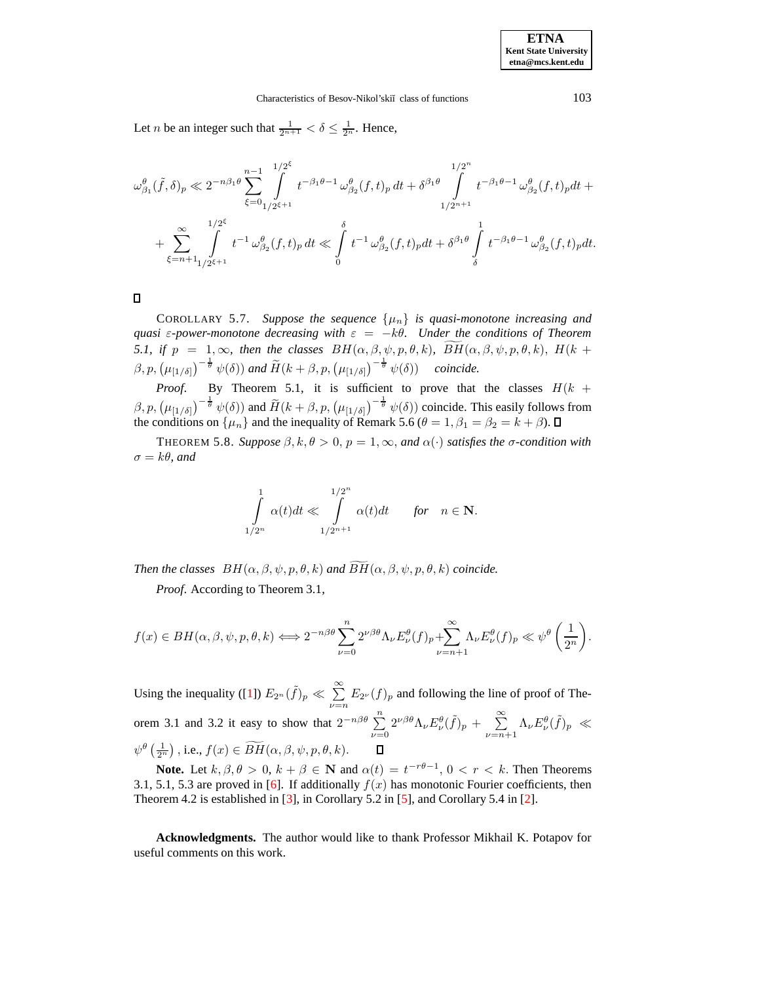Let *n* be an integer such that  $\frac{1}{2^{n+1}} < \delta \leq \frac{1}{2^n}$ . Hence,

$$
\omega^{\theta}_{\beta_1}(\tilde{f},\delta)_p \ll 2^{-n\beta_1 \theta} \sum_{\xi=0}^{n-1} \int_{1/2^{\xi+1}}^{1/2^{\xi}} t^{-\beta_1 \theta-1} \omega^{\theta}_{\beta_2}(f,t)_p dt + \delta^{\beta_1 \theta} \int_{1/2^{n+1}}^{1/2^n} t^{-\beta_1 \theta-1} \omega^{\theta}_{\beta_2}(f,t)_p dt + \sum_{\xi=n+1}^{\infty} \int_{1/2^{\xi+1}}^{1/2^{\xi}} t^{-1} \omega^{\theta}_{\beta_2}(f,t)_p dt \ll \int_0^{\delta} t^{-1} \omega^{\theta}_{\beta_2}(f,t)_p dt + \delta^{\beta_1 \theta} \int_{\delta}^1 t^{-\beta_1 \theta-1} \omega^{\theta}_{\beta_2}(f,t)_p dt.
$$

 $\Box$ 

COROLLARY 5.7. Suppose the sequence  $\{\mu_n\}$  is quasi-monotone increasing and *quasi*  $\varepsilon$ -power-monotone decreasing with  $\varepsilon = -k\theta$ . Under the conditions of Theorem *5.1,* if  $p = 1, \infty$ , then the classes  $BH(\alpha, \beta, \psi, p, \theta, k)$ ,  $\widetilde{BH}(\alpha, \beta, \psi, p, \theta, k)$ ,  $H(k + k)$  $(\beta, p, (\mu_{[1/\delta]})^{-\frac{1}{\theta}} \psi(\delta))$  and  $\widetilde{H}(k+\beta, p, (\mu_{[1/\delta]})^{-\frac{1}{\theta}} \psi(\delta))$  coincide.

*Proof.* By Theorem 5.1, it is sufficient to prove that the classes  $H(k +$  $(\beta, p, (\mu_{[1/\delta]})^{-\frac{1}{\theta}} \psi(\delta))$  and  $\widetilde{H}(k+\beta, p, (\mu_{[1/\delta]})^{-\frac{1}{\theta}} \psi(\delta))$  coincide. This easily follows from the conditions on  $\{\mu_n\}$  and the inequality of Remark 5.6 ( $\theta = 1, \beta_1 = \beta_2 = k + \beta$ ).

**THEOREM 5.8.** *Suppose*  $\beta, k, \theta > 0, p = 1, \infty$ , and  $\alpha(\cdot)$  *satisfies the*  $\sigma$ -condition with  $\sigma = k\theta$ *, and* 

$$
\int\limits_{1/2^n}^{1} \alpha(t) dt \ll \int\limits_{1/2^{n+1}}^{1/2^n} \alpha(t) dt \quad \quad for \quad n \in \mathbf{N}.
$$

*Then the classes*  $BH(\alpha, \beta, \psi, p, \theta, k)$  *and*  $BH(\alpha, \beta, \psi, p, \theta, k)$  *coincide.* 

*Proof*. According to Theorem 3.1,

$$
f(x) \in BH(\alpha, \beta, \psi, p, \theta, k) \Longleftrightarrow 2^{-n\beta\theta} \sum_{\nu=0}^{n} 2^{\nu\beta\theta} \Lambda_{\nu} E_{\nu}^{\theta}(f)_{p} + \sum_{\nu=n+1}^{\infty} \Lambda_{\nu} E_{\nu}^{\theta}(f)_{p} \ll \psi^{\theta} \left(\frac{1}{2^{n}}\right).
$$

Using the inequality ([\[1\]](#page-10-9))  $E_{2^n}(\tilde{f})_p \ll \sum_{n=1}^{\infty}$  $\sum_{\nu=n} E_{2\nu}(f)_p$  and following the line of proof of Theorem 3.1 and 3.2 it easy to show that  $2^{-n\beta\theta} \sum_{n=1}^{\infty}$  $\sum_{\nu=0}^n 2^{\nu\beta\theta} \Lambda_\nu E_\nu^{\theta}(\tilde{f})_p + \sum_{\nu=n}^{\infty}$  $\sum_{\nu=n+1}^{\infty} \Lambda_{\nu} E_{\nu}^{\theta}(\tilde{f})_p \ \ll$  $\psi^{\theta}\left(\frac{1}{2^{n}}\right),$  i.e.,  $f(x) \in \widetilde{BH}(\alpha,\beta,\psi,p,\theta,k)$ .

**Note.** Let  $k, \beta, \theta > 0$ ,  $k + \beta \in \mathbb{N}$  and  $\alpha(t) = t^{-r\theta-1}$ ,  $0 < r < k$ . Then Theorems 3.1, 5.1, 5.3 are proved in [\[6\]](#page-10-10). If additionally  $f(x)$  has monotonic Fourier coefficients, then Theorem 4.2 is established in [\[3\]](#page-10-11), in Corollary 5.2 in [\[5\]](#page-10-12), and Corollary 5.4 in [\[2\]](#page-10-13).

**Acknowledgments.** The author would like to thank Professor Mikhail K. Potapov for useful comments on this work.